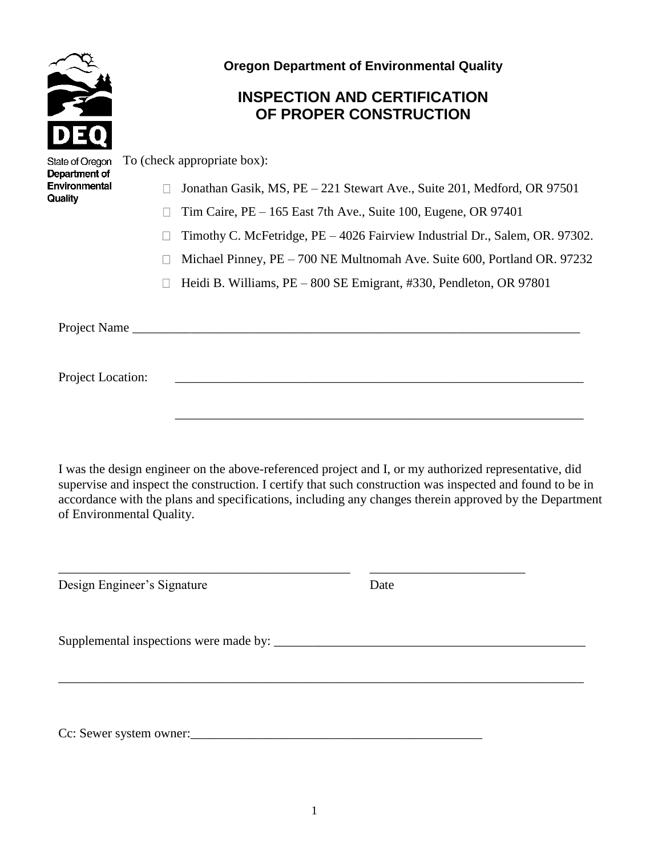

**Oregon Department of Environmental Quality**

## **INSPECTION AND CERTIFICATION OF PROPER CONSTRUCTION**

| State of Oregon<br>Department of<br>Environmental<br>Quality | To (check appropriate box): |                                                                             |
|--------------------------------------------------------------|-----------------------------|-----------------------------------------------------------------------------|
|                                                              |                             | Jonathan Gasik, MS, PE – 221 Stewart Ave., Suite 201, Medford, OR 97501     |
|                                                              |                             | Tim Caire, $PE - 165$ East 7th Ave., Suite 100, Eugene, OR 97401            |
|                                                              |                             | Timothy C. McFetridge, PE – 4026 Fairview Industrial Dr., Salem, OR. 97302. |
|                                                              |                             | Michael Pinney, PE - 700 NE Multnomah Ave. Suite 600, Portland OR. 97232    |
|                                                              |                             | Heidi B. Williams, PE – 800 SE Emigrant, #330, Pendleton, OR 97801          |
|                                                              |                             |                                                                             |
| Project Name                                                 |                             |                                                                             |
|                                                              |                             |                                                                             |
| Project Location:                                            |                             |                                                                             |
|                                                              |                             |                                                                             |
|                                                              |                             |                                                                             |

I was the design engineer on the above-referenced project and I, or my authorized representative, did supervise and inspect the construction. I certify that such construction was inspected and found to be in accordance with the plans and specifications, including any changes therein approved by the Department of Environmental Quality.

\_\_\_\_\_\_\_\_\_\_\_\_\_\_\_\_\_\_\_\_\_\_\_\_\_\_\_\_\_\_\_\_\_\_\_\_\_\_\_\_\_\_\_\_\_ \_\_\_\_\_\_\_\_\_\_\_\_\_\_\_\_\_\_\_\_\_\_\_\_

Design Engineer's Signature Date

Supplemental inspections were made by: \_\_\_\_\_\_\_\_\_\_\_\_\_\_\_\_\_\_\_\_\_\_\_\_\_\_\_\_\_\_\_\_\_\_\_\_\_\_\_\_\_\_\_\_\_\_\_\_

Cc: Sewer system owner:

\_\_\_\_\_\_\_\_\_\_\_\_\_\_\_\_\_\_\_\_\_\_\_\_\_\_\_\_\_\_\_\_\_\_\_\_\_\_\_\_\_\_\_\_\_\_\_\_\_\_\_\_\_\_\_\_\_\_\_\_\_\_\_\_\_\_\_\_\_\_\_\_\_\_\_\_\_\_\_\_\_